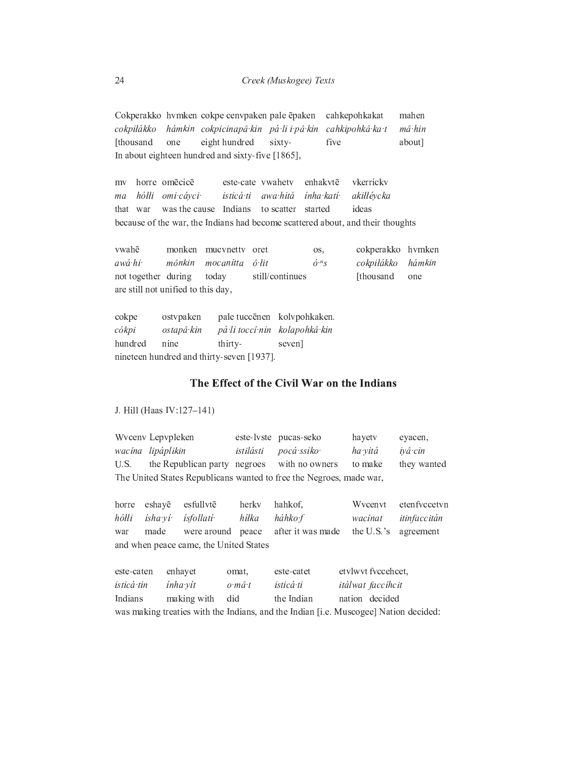Cokperakko hvmken cokpe cenvpaken pale ēpaken cahkepohkakat mahen hámkin cokpicinapâ kin pá li i pâ kin cokpiłákko cahkipohkâ ka t  $m\hat{a}$  hin about] [thousand eight hundred sixtyfive one In about eighteen hundred and sixty-five [1865],

mv horre omēcicē este-cate vwahetv enhakvtē vkerricky hółli omicáyci isticá ti inha kati awa hitá akillévcka ma to scatter started was the cause Indians ideas that war because of the war, the Indians had become scattered about, and their thoughts

monken mucvnetty oret vwahē cokperakko hvmken os, awá hi  $m\hat{o}nkin$  $\hat{o}$  lit cokpiłákko mocanítta  $\acute{o}^{n}S$ hámkin not together during today still/continues [thousand one are still not unified to this day,

ostvpaken pale tuccēnen kolvpohkaken. cokpe cókpi ostapâ kin pá li toccî nin kolapohkâ kin hundred nine thirtyseven] nineteen hundred and thirty-seven [1937].

## The Effect of the Civil War on the Indians

J. Hill (Haas IV:127-141)

Wvcenv Lepvpleken este-lyste pucas-seko hayetv eyacen, wacína lipáplikin istilásti pocá ssiko ha yitá iyâ cin the Republican party negroes they wanted U.S. with no owners to make The United States Republicans wanted to free the Negroes, made war,

horre eshayē esfullvtē herky hahkof, Wycenyt etenfyccetyn ísha ví hółłi *isfollatí* hilka háhko f wacinat itinfaccitán war made were around peace after it was made the U.S.'s agreement and when peace came, the United States

| este-caten | enhavet         | omat.  | este-catet | etylwyt fyccehcet.                                                                   |
|------------|-----------------|--------|------------|--------------------------------------------------------------------------------------|
| isticá tin | ínha vít        | o mâ t | isticá ti  | itálwat faccíhcit                                                                    |
| Indians    | making with did |        | the Indian | nation decided                                                                       |
|            |                 |        |            | was making treaties with the Indians, and the Indian [i.e. Muscogee] Nation decided: |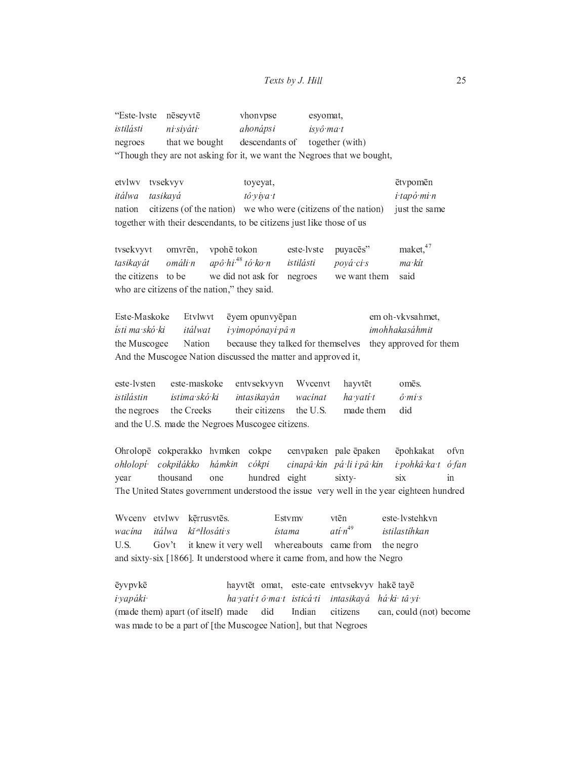| "Este-lyste nēseyvtē                                                    |                | vhonvpse                       | esyomat,  |  |  |  |
|-------------------------------------------------------------------------|----------------|--------------------------------|-----------|--|--|--|
| istilásti                                                               | ni siyáti      | ahonápsi                       | isyô ma t |  |  |  |
| negroes                                                                 | that we bought | descendants of together (with) |           |  |  |  |
| "Though they are not asking for it, we want the Negroes that we bought, |                |                                |           |  |  |  |

etvlwy tvsekvyv toyeyat, ētvpomēn itálwa tô viva t tasikayá i tapó mi n citizens (of the nation) we who were (citizens of the nation) nation just the same together with their descendants, to be citizens just like those of us

maket, 47 vpohē tokon tvsekvyvt omvrēn, este-lyste puyacēs" apô hi $^{48}$ tó ko n tasikayát omáli n istilásti pová ci s  $ma$   $kit$ we did not ask for negroes the citizens to be we want them said who are citizens of the nation," they said.

Este-Maskoke Etvlwvt em oh-vkvsahmet. ēyem opunvyēpan ísti ma skó ki itálwat i vimopónavi pâ n imohhakasáhmit the Muscogee Nation because they talked for themselves they approved for them And the Muscogee Nation discussed the matter and approved it,

este-lysten este-maskoke entvsekvyvn Wvcenvt hayvtēt omēs. istilástin istima skó ki intasikaván wacinat ha vatí t  $\hat{o}$  mi s the Creeks their citizens the U.S. made them did the negroes and the U.S. made the Negroes Muscogee citizens.

Ohrolopē cokperakko hvmken cokpe cenvpaken pale ēpaken ēpohkakat ofvn cokpiłákko hámkin cinapâ kin pá li i pâ kin ohłolopí cókpi i pohkâ ka t ó fan thousand hundred eight sixtyyear one  $\sin x$ in The United States government understood the issue very well in the year eighteen hundred

kērrusvtēs. este-lystehkvn Wyceny etvlwy Estymy vtēn  $ati n^{49}$ wacina itálwa kĭ "łłosáti s ístama istilastíhkan U.S. Gov't it knew it very well whereabouts came from the negro and sixty-six [1866]. It understood where it came from, and how the Negro

ēyvpvkē hayvtēt omat, este-cate entvsekvyv hakē tayē i yapáki· ha yatí tô ma t isticá ti intasikayá há ki tâ yi (made them) apart (of itself) made Indian citizens did can, could (not) become was made to be a part of [the Muscogee Nation], but that Negroes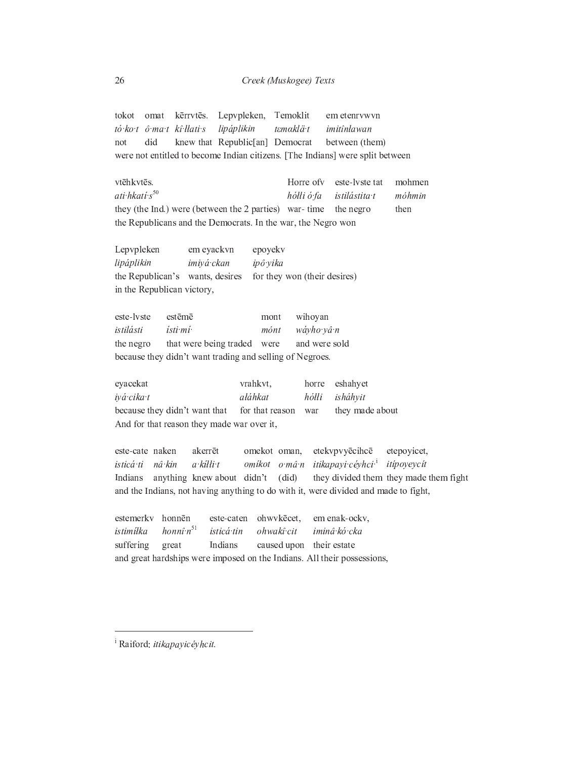Lepvpleken, Temoklit tokot omat kērrvtēs. em etenrvwvn tó ko t ô ma t kî Hati s lipáplikin  $t$ *emaklä* $t$ imitînlawan did knew that Republic[an] Democrat between (them) not were not entitled to become Indian citizens. [The Indians] were split between

vtēhkvtēs. Horre of v este-lyste tat mohmen ati hkati s<sup>50</sup> hólli ó fa istilástita t móhmin they (the Ind.) were (between the 2 parties) war-time the negro then the Republicans and the Democrats. In the war, the Negro won

Lepvpleken em eyackvn epoyekv lipáplikin imiyá ckan ipô yika the Republican's wants, desires for they won (their desires) in the Republican victory,

| este-lyste                                               | estēmē                                |      | mont wihoyan  |  |  |  |
|----------------------------------------------------------|---------------------------------------|------|---------------|--|--|--|
| istilásti                                                | ísti mí                               | mónt | wáyho yâ n    |  |  |  |
|                                                          | the negro that were being traded were |      | and were sold |  |  |  |
| because they didn't want trading and selling of Negroes. |                                       |      |               |  |  |  |

eyacekat vrahkvt, horre eshahyet iyá cika t aláhkat hółłi isháhyit because they didn't want that for that reason they made about war And for that reason they made war over it,

akerrēt etekvpvyēcihcē este-cate naken omekot oman, etepoyicet, isticá ti nâ kin  $a$  killi t omikot o mâ n itikapayi céyhci<sup>i</sup> itipoyeycit Indians anything knew about didn't  $(di**d**)$ they divided them they made them fight and the Indians, not having anything to do with it, were divided and made to fight,

estemerkv honnēn este-caten ohwvkēcet, em enak-ockv,  $honn\hat{i} \cdot n^{51}$ istim ílka isticá tin ohwakî cit iminâ kó cka Indians suffering great caused upon their estate and great hardships were imposed on the Indians. All their possessions,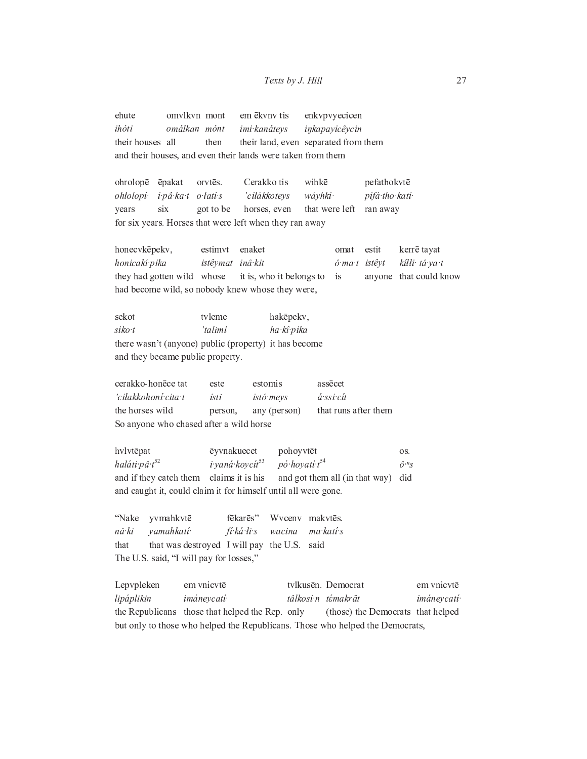ehute omvlkvn mont em ēkvnv tis enkvpvyecicen ihóti omálkan mónt imi kanátevs inkapayicêycin their houses all then their land, even separated from them and their houses, and even their lands were taken from them ohrolopē ēpakat orvtēs. Cerakko tis wihkē pefathokvtē pifá tho katí ohłolopí i pâ ka t o latí s 'ciłákkoteys wáyhki  $six$ horses, even that were left ran away years got to be for six years. Horses that were left when they ran away honecvkēpekv, enaket estit kerrē tayat estimvt omat honicakî pika inâ kit istêymat  $\hat{o}$  mat istêvt kílli tâ ya t they had gotten wild whose it is, who it belongs to anyone that could know is had become wild, so nobody knew whose they were, sekot tvleme hakēpekv, 'talimí  $siko$ ha kî pika there wasn't (anyone) public (property) it has become and they became public property. cerakko-honēce tat este estomis assēcet 'ciłakkohoní cita t ísti istô meys á ssi cít the horses wild that runs after them person, any (person) So anyone who chased after a wild horse hvlvtēpat ēyvnakuecet pohoyvtēt OS.

haláti pâ t<sup>52</sup> i yaná koycít<sup>53</sup>  $p\acute{o}$ ·hoyatí·t<sup>54</sup>  $\hat{\omega}^{n}$ s and if they catch them claims it is his and got them all (in that way) did and caught it, could claim it for himself until all were gone.

"Nake yvmahkvtē fēkarēs" Wyceny makytēs. nâ ki yamahkati fi ká li s wacina ma kati s that that was destroyed I will pay the U.S. said The U.S. said, "I will pay for losses,"

em vnicytē tylkusēn. Democrat Lepvpleken em vnicytē lipáplikin imáneycatí tâlkosi n témakrät *imáneycatí* the Republicans those that helped the Rep. only (those) the Democrats that helped but only to those who helped the Republicans. Those who helped the Democrats,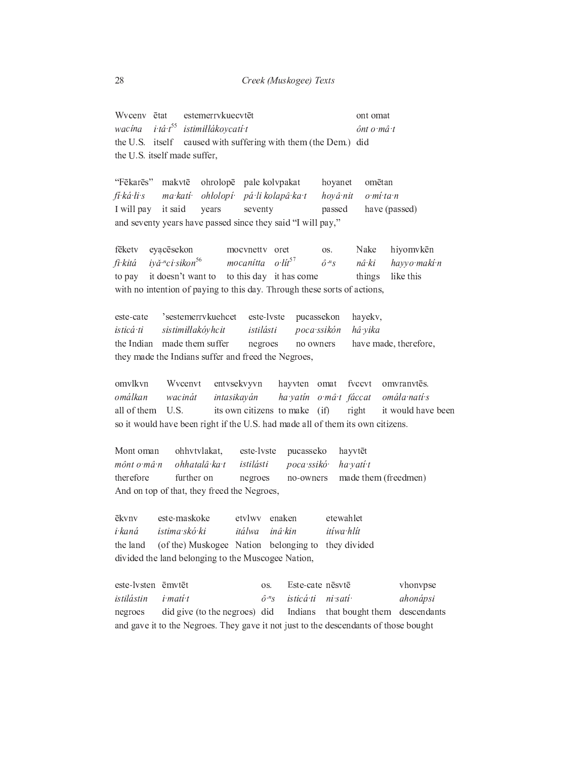Wyceny ētat estemerrykuecytēt ont omat i tá t<sup>55</sup> istimillákoycatí t wacina  $\hat{a}$ nt o m $\hat{a}$  t the U.S. itself caused with suffering with them (the Dem.) did the U.S. itself made suffer,

"Fēkarēs" makvtē ohrolopē pale kolvpakat hoyanet omētan fi ká li s ohłolopí páli kolapâ ka t hoyâ nit ma kati<sup>.</sup> o mí ta n I will pay it said years seventy passed have (passed) and seventy years have passed since they said "I will pay,"

mocvnetty oret fēketv evacēsekon Nake hiyomvkēn  $\alpha$ s fi kitá iyă <sup>n</sup>ci sikon<sup>56</sup> mocanitta o lit<sup>57</sup>  $\hat{o}^{n} s$ havyo maki n nâ ki to pay it doesn't want to to this day it has come things like this with no intention of paying to this day. Through these sorts of actions,

este-cate 'sestemerrykuehcet este-lyste hayekv, pucassekon poca ssikón isticá ti sistimiłłakóyhcit istilásti hâ vika the Indian made them suffer negroes no owners have made, therefore, they made the Indians suffer and freed the Negroes,

omvlkvn Wvcenvt entvsekvyvn hayvten omat fvccvt omvranvtēs. omálkan wacinát intasikayán ha yatin o mâ t fáccat omála natí s all of them U.S. its own citizens to make right it would have been  $(i)$ so it would have been right if the U.S. had made all of them its own citizens.

Mont oman ohhytylakat. este-lyste pucasseko hayvtēt mônt o mâ n ohhatalâ ka t istilásti poca ssikó ha yati t therefore further on no-owners made them (freedmen) negroes And on top of that, they freed the Negroes,

ēkvnv este-maskoke etvlwv enaken etewahlet i kaná istima skó ki itálwa inâ kin itiwa hlit the land (of the) Muskogee Nation belonging to they divided divided the land belonging to the Muscogee Nation,

este-lysten ēmvtēt Este-cate nēsvtē OS. vhonvpse  $\hat{o}^{n} s$ istilástin i mati t isticá ti ni sati ahonápsi Indians negroes did give (to the negroes) did that bought them descendants and gave it to the Negroes. They gave it not just to the descendants of those bought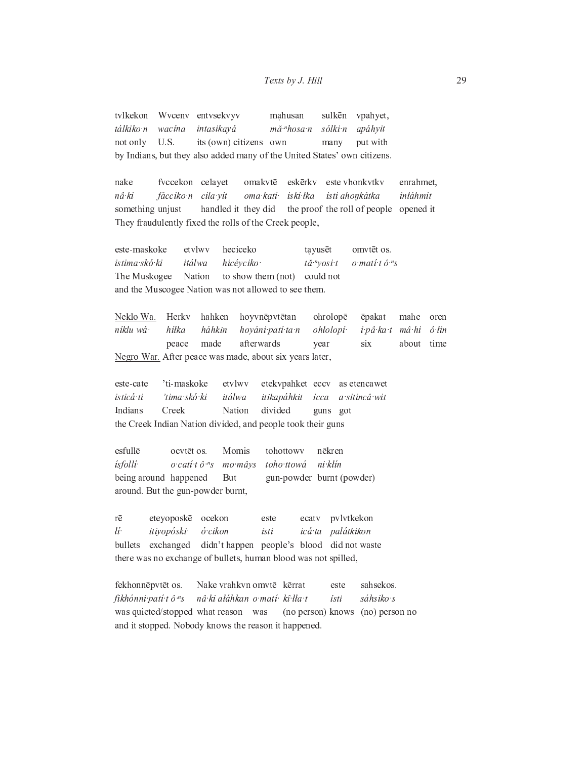tvlkekon Wyceny entysekvyv mahusan sulkēn vpahyet, tálkiko n wacina intasikayá mă "hosa n sólki n apáhyit U.S. its (own) citizens own not only many put with by Indians, but they also added many of the United States' own citizens.

nake fvccekon celayet omakvtē eskērkv este vhonkytky enrahmet. nâ ki fácciko n cila vít iskí lka inłáhmit oma katí ísti ahonkátka handled it they did the proof the roll of people opened it something unjust They fraudulently fixed the rolls of the Creek people,

este-maskoke etvlwy heciceko tayusēt omvtēt os. istima skó ki itálwa hicéyciko  $t\check{a}$  "vosi t  $o$  mati t  $\hat{o}$  <sup>n</sup>s The Muskogee Nation to show them (not) could not and the Muscogee Nation was not allowed to see them.

Herkv ohrolopē Neklo Wa. hahken hoyvnēpvtētan ēpakat mahe oren níklu wá  $h$ iłka háhkin hoyáni patí ta n ohłolopí i pâ ka t  $m\hat{a}$ · $hi$  $\hat{o}$  lin made afterwards peace year six about time Negro War. After peace was made, about six years later,

'ti-maskoke este-cate etvlwv etekvpahket eccv as etencawet 'tima skó ki isticá ti itálwa itikapáhkit ícca a sitincâ wit Indians Creek Nation divided guns got the Creek Indian Nation divided, and people took their guns

esfullē ocvtēt os. Momis tohottowy nēkren *isfolli*  $o\ cati\ t\ \hat{o}^{n}s$ ni klín mo mâys toho ttowá being around happened gun-powder burnt (powder) But around. But the gun-powder burnt,

eteyoposkē ocekon pvlvtkekon rē este ecatv lí· itiyopóski· ó cikon ísti icá ta palátkikon didn't happen people's blood did not waste bullets exchanged there was no exchange of bullets, human blood was not spilled,

Nake vrahkvn omvtē kērrat sahsekos. fekhonnēpvtēt os. este fikhónni patí tô <sup>n</sup>s nâ ki aláhkan o matí kî lla t sáhsiko s ísti was quieted/stopped what reason was (no person) knows (no) person no and it stopped. Nobody knows the reason it happened.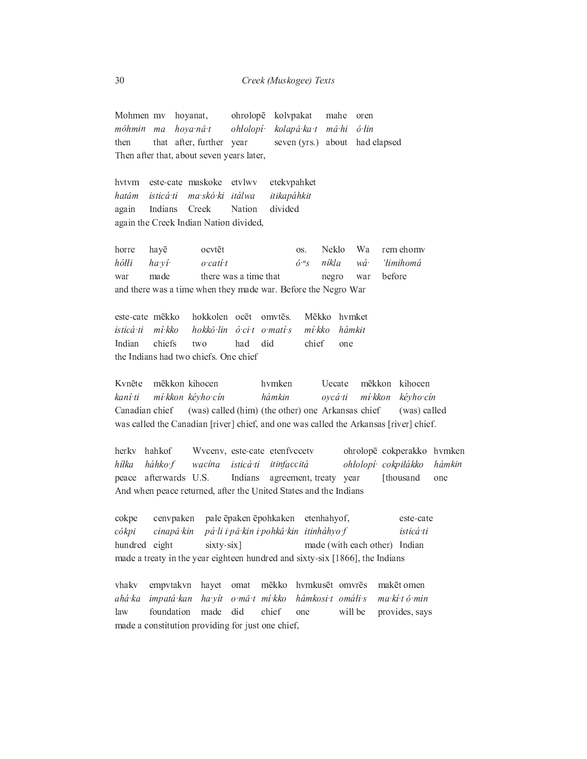Mohmen mv hoyanat, ohrolopē kolvpakat mahe oren  $m\hat{a}$ hi móhmin ma hova nâ t ohłolopí· kolapâ ka t  $\hat{o}$  lin that after, further year seven (yrs.) about had elapsed then Then after that, about seven years later,

hvtvm este-cate maskoke etvlwy etekvpahket hatâm isticá ti ma skó ki itálwa itikapáhkit again Indians Creek Nation divided again the Creek Indian Nation divided,

rem ehomy hayē ocvtēt Neklo horre Wa  $\alpha$ s hółłi ha ví  $o$  cati t  $\hat{o}^{n} s$ 'limihomá níkla wá made there was a time that negro before war war and there was a time when they made war. Before the Negro War

este-cate mēkko hokkolen ocēt Mēkko hvmket omvtēs.  $m'$ : kko hámkit isticá ti hokkô lin ó ci to mati s  $m'$ kko chiefs Indian two had did chief one the Indians had two chiefs. One chief

mēkkon kihocen  $\rm{Uecate}$ Kvnēte hvmken mēkkon kihocen mí kkon kévho cín mí kkon kévho cín kaní ti hámkin ovcá ti Canadian chief (was) called (him) (the other) one Arkansas chief (was) called was called the Canadian [river] chief, and one was called the Arkansas [river] chief.

herky hahkof Wvcenv, este-cate etenfvccetv ohrolopē cokperakko hvmken háhko f isticá ti itinfaccitá ohłolopí cokpiłákko hiłka wacina hámkin peace afterwards U.S. Indians agreement, treaty year [thousand one And when peace returned, after the United States and the Indians

cokpe cenvpaken pale ēpaken ēpohkaken etenhahyof, este-cate cókpi cinapâ kin pá li i pâ kin i pohkâ kin itinháhyo f isticá ti hundred eight sixty-six] made (with each other) Indian made a treaty in the year eighteen hundred and sixty-six [1866], the Indians

hvmkusēt omvrēs vhaky empvtakvn hayet omat mēkko makēt omen ma kí tô min ahá ka impatá kan ha vít o mâ t mi kko hámkosi tomáli s foundation made did law chief one will be provides, says made a constitution providing for just one chief,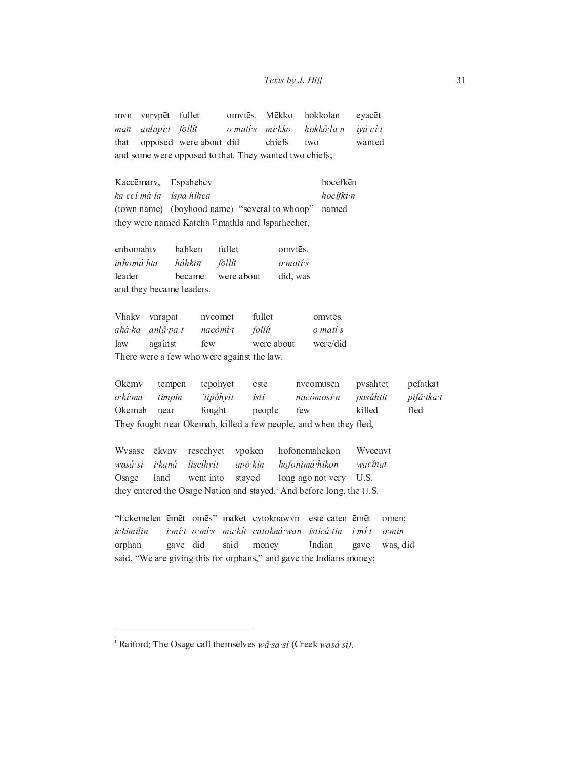Mēkko hokkolan vnrvpēt fullet omvtēs. eyacēt mvn man anlapí t follít o matí s mí kko hokkô la n ivá ci t opposed were about did chiefs wanted that two and some were opposed to that. They wanted two chiefs;

Kaccēmarv. Espahehcv hocefkēn ka cci má ła ispa hihca hocífki n (town name) (boyhood name)="several to whoop" named they were named Katcha Emathla and Isparhecher,

enhomahtv hahken fullet omvtēs. inhomá hta háhkin follit  $o$  mati  $s$ leader became were about did, was and they became leaders.

nvcomēt fullet omvtēs. Vhakv vnrapat ahá ka anlâ pa t nacómi t follit  $o$  mati  $s$ law against few were about were/did There were a few who were against the law.

Okēmv tempen tepohyet este nvcomusēn pvsahtet pefatkat o kí ma tímpin 'tipóhyit ísti nacómosi n pasáhtit pifâ tka t Okemah near fought few killed fled people They fought near Okemah, killed a few people, and when they fled,

Wysase ēkvny hofonemahekon Wycenyt rescehyet vpoken wasá si i kaná liscíhvit apô kin hofonimá hikon wacinat Osage land went into stayed long ago not very U.S. they entered the Osage Nation and stayed.<sup>1</sup> And before long, the U.S.

"Eckemelen ēmēt omēs" maket cvtoknawvn este-caten ēmēt omen; ickimílin i mít o mís ma kít catokná wan isticátin i mi t  $o$   $min$ orphan gave did said money Indian gave was, did said, "We are giving this for orphans," and gave the Indians money;

<sup>&</sup>lt;sup>i</sup> Raiford: The Osage call themselves wa sa si (Creek wasa si).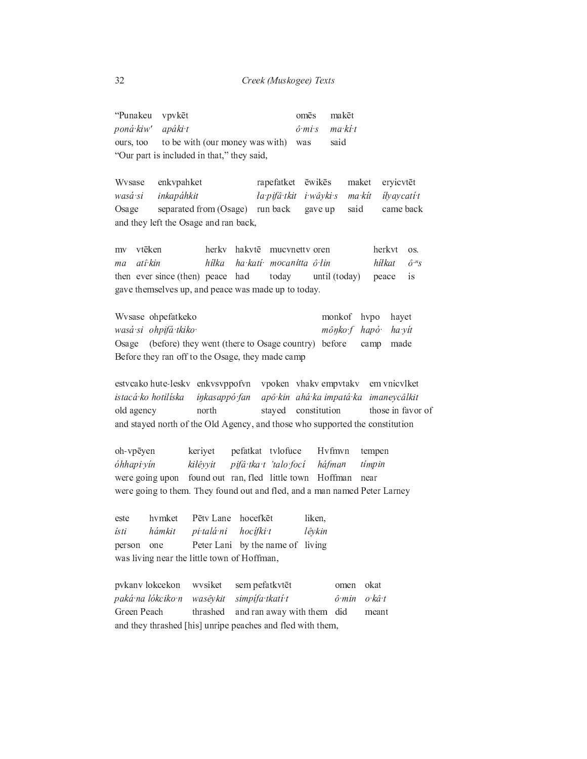"Punakeu vpvkēt makēt omēs poná kiw' apáki t  $\hat{o}$  mi s ma kí t to be with (our money was with) ours, too was said "Our part is included in that," they said,

Wysase enkvpahket rapefatket ēwikēs maket eryicvtēt wasá si iłyaycati t inkapáhkit ła pifâ tkit – i wâyki s ma kit separated from (Osage) run back gave up came back Osage said and they left the Osage and ran back,

vtēken herky hakytē mucvnetty oren herkvt my os. atî kin hilka ha katí mocanitta ô lin hiłkat  $\hat{o}^{n} s$  $ma$ then ever since (then) peace had today until (today) peace is gave themselves up, and peace was made up to today.

Wysase ohpefatkeko monkof hvpo hayet wasá si ohpifá tkiko mônko f hapó ha yít Osage (before) they went (there to Osage country) before camp made Before they ran off to the Osage, they made camp

estvcako hute-leskv enkvsvppofvn vpoken vhakvempvtakv em vnicvlket istacá ko hotilíska inkasappó fan apô kin ahá ka impatá ka imaneycâlkit north stayed constitution those in favor of old agency and stayed north of the Old Agency, and those who supported the constitution

oh-vpēyen keriyet pefatkat tvlofuce Hvfmvn tempen pifâ tka t 'talo foci óhhapi yín kilêyyit háfman tímpin found out ran, fled little town Hoffman were going upon near were going to them. They found out and fled, and a man named Peter Larney

hvmket Pētv Lane hocefkēt este liken, ísti hámkit pi talá ni hocífki t lêykin person one Peter Lani by the name of living was living near the little town of Hoffman,

pvkanv lokcekon sem pefatkvtēt omen okat wysiket paká na lókciko n simpífa tkatí t ô min o kâ t wasêykit Green Peach and ran away with them did thrashed meant and they thrashed [his] unripe peaches and fled with them,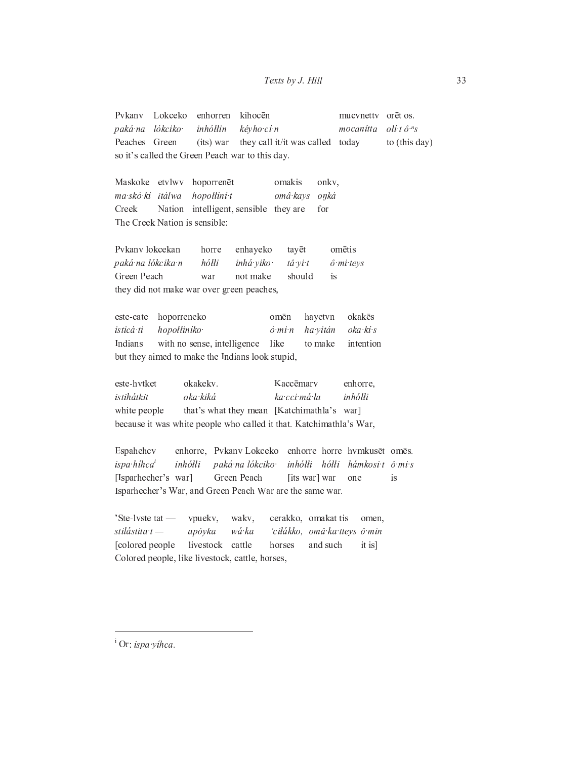Pykany Lokceko enhorren kihocēn mucvnetty orēt os. kévho cí n  $\partial f$ i t $\hat{\partial}^{n}$ s paká na lókciko inhółłin mocanitta Peaches Green (its) war they call it/it was called today to (this day) so it's called the Green Peach war to this day.

Maskoke etvlwv hoporrenēt omakis onkv, ma skó ki itálwa hopolliní t omâ kays onká Creek Nation intelligent, sensible they are for The Creek Nation is sensible:

Pvkanv lokcekan enhayeko horre tayēt omētis paká na lókcika n  $h\acute{o}tli$ inhá viko ô mi teys tâ vi t Green Peach war not make should is. they did not make war over green peaches,

hoporreneko hayetvn okakēs este-cate omēn oka kí s isticá ti hopolliníko  $\acute{o}$  mi $n$ ha yitán Indians with no sense, intelligence like to make intention but they aimed to make the Indians look stupid,

este-hvtket okakekv. Kaccēmarv enhorre, ka cci má la istihátkit oka kiká inhółłi white people that's what they mean [Katchimathla's war] because it was white people who called it that. Katchimathla's War,

enhorre, Pvkany Lokceko enhorre horre hymkusēt omēs. Espahehev ispa híhca<sup>i</sup> inhółłi paká na lókciko inhółłi hółłi hámkosit ô mis [Isparhecher's war] Green Peach [its war] war is one Isparhecher's War, and Green Peach War are the same war.

'Ste-lyste tat vpuekv, wakv, cerakko, omakat tis omen, stilástita t apóyka wá ka 'ciłákko, omâ ka tteys ô min [colored people] livestock cattle horses and such  $it is$ Colored people, like livestock, cattle, horses,